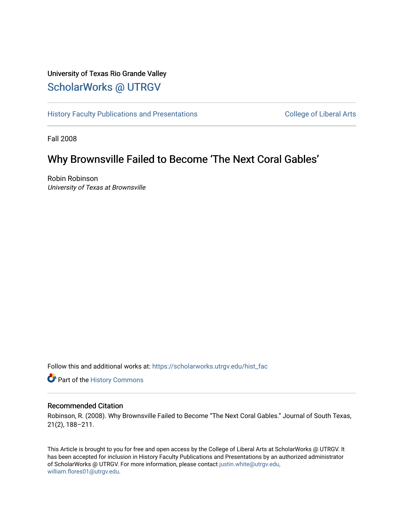## University of Texas Rio Grande Valley [ScholarWorks @ UTRGV](https://scholarworks.utrgv.edu/)

[History Faculty Publications and Presentations](https://scholarworks.utrgv.edu/hist_fac) **COLLEGE 12 College of Liberal Arts** 

Fall 2008

# Why Brownsville Failed to Become 'The Next Coral Gables'

Robin Robinson University of Texas at Brownsville

Follow this and additional works at: [https://scholarworks.utrgv.edu/hist\\_fac](https://scholarworks.utrgv.edu/hist_fac?utm_source=scholarworks.utrgv.edu%2Fhist_fac%2F100&utm_medium=PDF&utm_campaign=PDFCoverPages) 

**P** Part of the History Commons

### Recommended Citation

Robinson, R. (2008). Why Brownsville Failed to Become "The Next Coral Gables." Journal of South Texas, 21(2), 188–211.

This Article is brought to you for free and open access by the College of Liberal Arts at ScholarWorks @ UTRGV. It has been accepted for inclusion in History Faculty Publications and Presentations by an authorized administrator of ScholarWorks @ UTRGV. For more information, please contact [justin.white@utrgv.edu,](mailto:justin.white@utrgv.edu,%20william.flores01@utrgv.edu) [william.flores01@utrgv.edu](mailto:justin.white@utrgv.edu,%20william.flores01@utrgv.edu).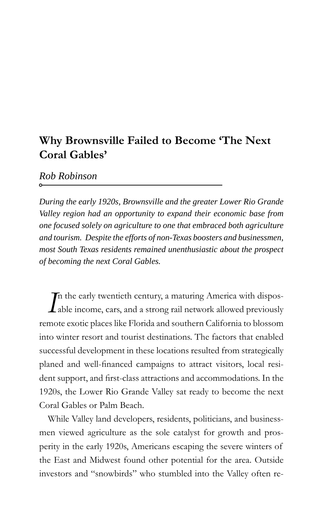### **Why Brownsville Failed to Become 'The Next Coral Gables'**

*Rob Robinson*

*During the early 1920s, Brownsville and the greater Lower Rio Grande Valley region had an opportunity to expand their economic base from one focused solely on agriculture to one that embraced both agriculture and tourism. Despite the efforts of non-Texas boosters and businessmen, most South Texas residents remained unenthusiastic about the prospect of becoming the next Coral Gables.*

*I*<sup>n</sup> the early twentieth century, a maturing America with disposable income, cars, and a strong rail network allowed previously n the early twentieth century, a maturing America with disposremote exotic places like Florida and southern California to blossom into winter resort and tourist destinations. The factors that enabled successful development in these locations resulted from strategically planed and well-financed campaigns to attract visitors, local resident support, and first-class attractions and accommodations. In the 1920s, the Lower Rio Grande Valley sat ready to become the next Coral Gables or Palm Beach.

While Valley land developers, residents, politicians, and businessmen viewed agriculture as the sole catalyst for growth and prosperity in the early 1920s, Americans escaping the severe winters of the East and Midwest found other potential for the area. Outside investors and "snowbirds" who stumbled into the Valley often re-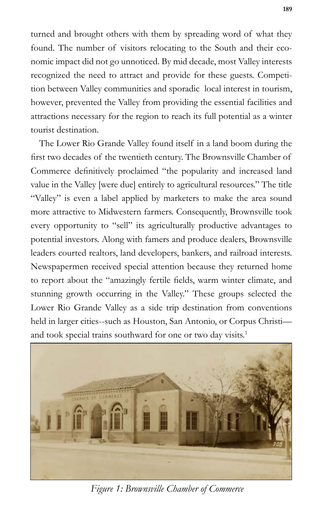turned and brought others with them by spreading word of what they found. The number of visitors relocating to the South and their economic impact did not go unnoticed. By mid decade, most Valley interests recognized the need to attract and provide for these guests. Competition between Valley communities and sporadic local interest in tourism, however, prevented the Valley from providing the essential facilities and attractions necessary for the region to reach its full potential as a winter tourist destination.

The Lower Rio Grande Valley found itself in a land boom during the first two decades of the twentieth century. The Brownsville Chamber of Commerce definitively proclaimed "the popularity and increased land value in the Valley [were due] entirely to agricultural resources." The title "Valley" is even a label applied by marketers to make the area sound more attractive to Midwestern farmers. Consequently, Brownsville took every opportunity to "sell" its agriculturally productive advantages to potential investors. Along with famers and produce dealers, Brownsville leaders courted realtors, land developers, bankers, and railroad interests. Newspapermen received special attention because they returned home to report about the "amazingly fertile fields, warm winter climate, and stunning growth occurring in the Valley." These groups selected the Lower Rio Grande Valley as a side trip destination from conventions held in larger cities--such as Houston, San Antonio, or Corpus Christi and took special trains southward for one or two day visits.<sup>1</sup>



*Figure 1: Brownsville Chamber of Commerce*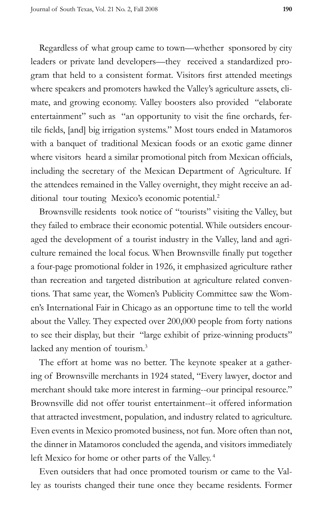Regardless of what group came to town—whether sponsored by city leaders or private land developers—they received a standardized program that held to a consistent format. Visitors first attended meetings where speakers and promoters hawked the Valley's agriculture assets, climate, and growing economy. Valley boosters also provided "elaborate entertainment" such as "an opportunity to visit the fine orchards, fertile fields, [and] big irrigation systems." Most tours ended in Matamoros with a banquet of traditional Mexican foods or an exotic game dinner where visitors heard a similar promotional pitch from Mexican officials, including the secretary of the Mexican Department of Agriculture. If the attendees remained in the Valley overnight, they might receive an additional tour touting Mexico's economic potential.<sup>2</sup>

Brownsville residents took notice of "tourists" visiting the Valley, but they failed to embrace their economic potential. While outsiders encouraged the development of a tourist industry in the Valley, land and agriculture remained the local focus. When Brownsville finally put together a four-page promotional folder in 1926, it emphasized agriculture rather than recreation and targeted distribution at agriculture related conventions. That same year, the Women's Publicity Committee saw the Women's International Fair in Chicago as an opportune time to tell the world about the Valley. They expected over 200,000 people from forty nations to see their display, but their "large exhibit of prize-winning products" lacked any mention of tourism.<sup>3</sup>

The effort at home was no better. The keynote speaker at a gathering of Brownsville merchants in 1924 stated, "Every lawyer, doctor and merchant should take more interest in farming--our principal resource." Brownsville did not offer tourist entertainment--it offered information that attracted investment, population, and industry related to agriculture. Even events in Mexico promoted business, not fun. More often than not, the dinner in Matamoros concluded the agenda, and visitors immediately left Mexico for home or other parts of the Valley. 4

Even outsiders that had once promoted tourism or came to the Valley as tourists changed their tune once they became residents. Former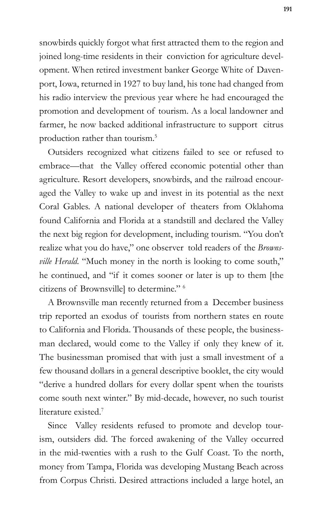snowbirds quickly forgot what first attracted them to the region and joined long-time residents in their conviction for agriculture development. When retired investment banker George White of Davenport, Iowa, returned in 1927 to buy land, his tone had changed from his radio interview the previous year where he had encouraged the promotion and development of tourism. As a local landowner and farmer, he now backed additional infrastructure to support citrus production rather than tourism.5

Outsiders recognized what citizens failed to see or refused to embrace—that the Valley offered economic potential other than agriculture. Resort developers, snowbirds, and the railroad encouraged the Valley to wake up and invest in its potential as the next Coral Gables. A national developer of theaters from Oklahoma found California and Florida at a standstill and declared the Valley the next big region for development, including tourism. "You don't realize what you do have," one observer told readers of the *Brownsville Herald*. "Much money in the north is looking to come south," he continued, and "if it comes sooner or later is up to them [the citizens of Brownsville] to determine." 6

A Brownsville man recently returned from a December business trip reported an exodus of tourists from northern states en route to California and Florida. Thousands of these people, the businessman declared, would come to the Valley if only they knew of it. The businessman promised that with just a small investment of a few thousand dollars in a general descriptive booklet, the city would "derive a hundred dollars for every dollar spent when the tourists come south next winter." By mid-decade, however, no such tourist literature existed.<sup>7</sup>

Since Valley residents refused to promote and develop tourism, outsiders did. The forced awakening of the Valley occurred in the mid-twenties with a rush to the Gulf Coast. To the north, money from Tampa, Florida was developing Mustang Beach across from Corpus Christi. Desired attractions included a large hotel, an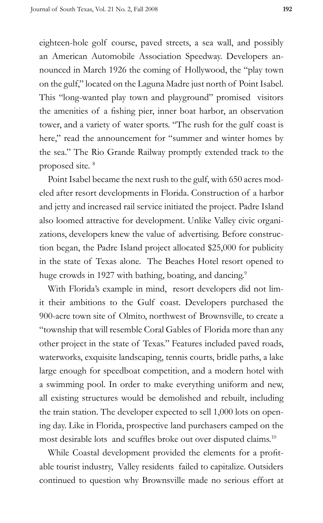eighteen-hole golf course, paved streets, a sea wall, and possibly an American Automobile Association Speedway. Developers announced in March 1926 the coming of Hollywood, the "play town on the gulf," located on the Laguna Madre just north of Point Isabel. This "long-wanted play town and playground" promised visitors the amenities of a fishing pier, inner boat harbor, an observation tower, and a variety of water sports. "The rush for the gulf coast is here," read the announcement for "summer and winter homes by the sea." The Rio Grande Railway promptly extended track to the proposed site. 8

Point Isabel became the next rush to the gulf, with 650 acres modeled after resort developments in Florida. Construction of a harbor and jetty and increased rail service initiated the project. Padre Island also loomed attractive for development. Unlike Valley civic organizations, developers knew the value of advertising. Before construction began, the Padre Island project allocated \$25,000 for publicity in the state of Texas alone. The Beaches Hotel resort opened to huge crowds in 1927 with bathing, boating, and dancing.<sup>9</sup>

With Florida's example in mind, resort developers did not limit their ambitions to the Gulf coast. Developers purchased the 900-acre town site of Olmito, northwest of Brownsville, to create a "township that will resemble Coral Gables of Florida more than any other project in the state of Texas." Features included paved roads, waterworks, exquisite landscaping, tennis courts, bridle paths, a lake large enough for speedboat competition, and a modern hotel with a swimming pool. In order to make everything uniform and new, all existing structures would be demolished and rebuilt, including the train station. The developer expected to sell 1,000 lots on opening day. Like in Florida, prospective land purchasers camped on the most desirable lots and scuffles broke out over disputed claims.<sup>10</sup>

While Coastal development provided the elements for a profitable tourist industry, Valley residents failed to capitalize. Outsiders continued to question why Brownsville made no serious effort at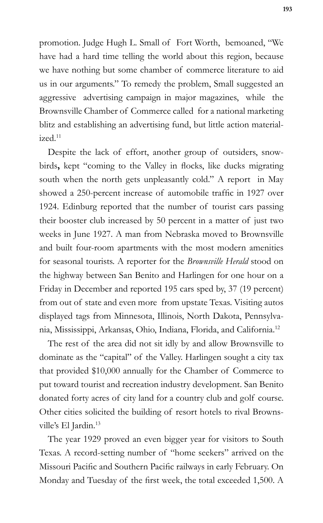promotion. Judge Hugh L. Small of Fort Worth, bemoaned, "We have had a hard time telling the world about this region, because we have nothing but some chamber of commerce literature to aid us in our arguments." To remedy the problem, Small suggested an aggressive advertising campaign in major magazines, while the Brownsville Chamber of Commerce called for a national marketing blitz and establishing an advertising fund, but little action material $i$ zed<sup>11</sup>

Despite the lack of effort, another group of outsiders, snowbirds, kept "coming to the Valley in flocks, like ducks migrating south when the north gets unpleasantly cold." A report in May showed a 250-percent increase of automobile traffic in 1927 over 1924. Edinburg reported that the number of tourist cars passing their booster club increased by 50 percent in a matter of just two weeks in June 1927. A man from Nebraska moved to Brownsville and built four-room apartments with the most modern amenities for seasonal tourists. A reporter for the *Brownsville Herald* stood on the highway between San Benito and Harlingen for one hour on a Friday in December and reported 195 cars sped by, 37 (19 percent) from out of state and even more from upstate Texas. Visiting autos displayed tags from Minnesota, Illinois, North Dakota, Pennsylvania, Mississippi, Arkansas, Ohio, Indiana, Florida, and California.12

The rest of the area did not sit idly by and allow Brownsville to dominate as the "capital" of the Valley. Harlingen sought a city tax that provided \$10,000 annually for the Chamber of Commerce to put toward tourist and recreation industry development. San Benito donated forty acres of city land for a country club and golf course. Other cities solicited the building of resort hotels to rival Brownsville's El Jardin.<sup>13</sup>

The year 1929 proved an even bigger year for visitors to South Texas. A record-setting number of "home seekers" arrived on the Missouri Pacific and Southern Pacific railways in early February. On Monday and Tuesday of the first week, the total exceeded 1,500. A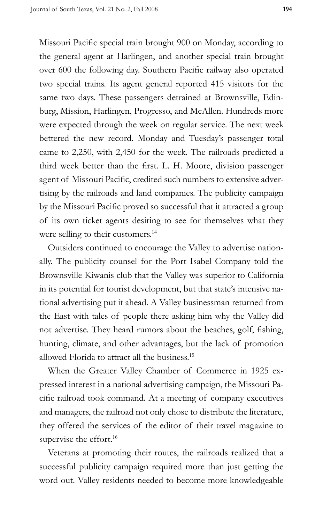Missouri Pacific special train brought 900 on Monday, according to the general agent at Harlingen, and another special train brought over 600 the following day. Southern Pacific railway also operated two special trains. Its agent general reported 415 visitors for the same two days. These passengers detrained at Brownsville, Edinburg, Mission, Harlingen, Progresso, and McAllen. Hundreds more were expected through the week on regular service. The next week bettered the new record. Monday and Tuesday's passenger total came to 2,250, with 2,450 for the week. The railroads predicted a third week better than the first. L. H. Moore, division passenger agent of Missouri Pacific, credited such numbers to extensive advertising by the railroads and land companies. The publicity campaign by the Missouri Pacific proved so successful that it attracted a group of its own ticket agents desiring to see for themselves what they were selling to their customers.<sup>14</sup>

Outsiders continued to encourage the Valley to advertise nationally. The publicity counsel for the Port Isabel Company told the Brownsville Kiwanis club that the Valley was superior to California in its potential for tourist development, but that state's intensive national advertising put it ahead. A Valley businessman returned from the East with tales of people there asking him why the Valley did not advertise. They heard rumors about the beaches, golf, fishing, hunting, climate, and other advantages, but the lack of promotion allowed Florida to attract all the business.15

When the Greater Valley Chamber of Commerce in 1925 expressed interest in a national advertising campaign, the Missouri Pacific railroad took command. At a meeting of company executives and managers, the railroad not only chose to distribute the literature, they offered the services of the editor of their travel magazine to supervise the effort.<sup>16</sup>

Veterans at promoting their routes, the railroads realized that a successful publicity campaign required more than just getting the word out. Valley residents needed to become more knowledgeable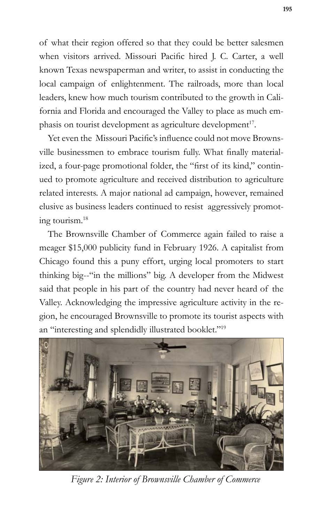of what their region offered so that they could be better salesmen when visitors arrived. Missouri Pacific hired J. C. Carter, a well known Texas newspaperman and writer, to assist in conducting the local campaign of enlightenment. The railroads, more than local leaders, knew how much tourism contributed to the growth in California and Florida and encouraged the Valley to place as much emphasis on tourist development as agriculture development<sup>17</sup>.

Yet even the Missouri Pacific's influence could not move Brownsville businessmen to embrace tourism fully. What finally materialized, a four-page promotional folder, the "first of its kind," continued to promote agriculture and received distribution to agriculture related interests. A major national ad campaign, however, remained elusive as business leaders continued to resist aggressively promoting tourism.18

The Brownsville Chamber of Commerce again failed to raise a meager \$15,000 publicity fund in February 1926. A capitalist from Chicago found this a puny effort, urging local promoters to start thinking big--"in the millions" big. A developer from the Midwest said that people in his part of the country had never heard of the Valley. Acknowledging the impressive agriculture activity in the region, he encouraged Brownsville to promote its tourist aspects with an "interesting and splendidly illustrated booklet."19



*Figure 2: Interior of Brownsville Chamber of Commerce*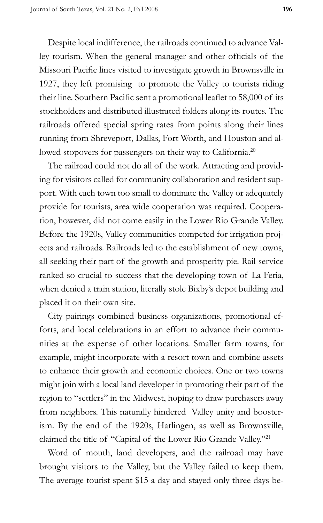Despite local indifference, the railroads continued to advance Valley tourism. When the general manager and other officials of the Missouri Pacific lines visited to investigate growth in Brownsville in 1927, they left promising to promote the Valley to tourists riding their line. Southern Pacific sent a promotional leaflet to 58,000 of its stockholders and distributed illustrated folders along its routes. The railroads offered special spring rates from points along their lines running from Shreveport, Dallas, Fort Worth, and Houston and allowed stopovers for passengers on their way to California.<sup>20</sup>

The railroad could not do all of the work. Attracting and providing for visitors called for community collaboration and resident support. With each town too small to dominate the Valley or adequately provide for tourists, area wide cooperation was required. Cooperation, however, did not come easily in the Lower Rio Grande Valley. Before the 1920s, Valley communities competed for irrigation projects and railroads. Railroads led to the establishment of new towns, all seeking their part of the growth and prosperity pie. Rail service ranked so crucial to success that the developing town of La Feria, when denied a train station, literally stole Bixby's depot building and placed it on their own site.

City pairings combined business organizations, promotional efforts, and local celebrations in an effort to advance their communities at the expense of other locations. Smaller farm towns, for example, might incorporate with a resort town and combine assets to enhance their growth and economic choices. One or two towns might join with a local land developer in promoting their part of the region to "settlers" in the Midwest, hoping to draw purchasers away from neighbors. This naturally hindered Valley unity and boosterism. By the end of the 1920s, Harlingen, as well as Brownsville, claimed the title of "Capital of the Lower Rio Grande Valley."21

Word of mouth, land developers, and the railroad may have brought visitors to the Valley, but the Valley failed to keep them. The average tourist spent \$15 a day and stayed only three days be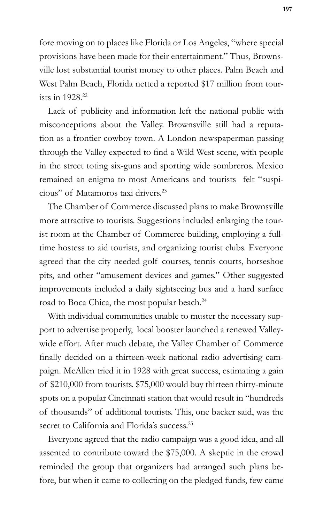fore moving on to places like Florida or Los Angeles, "where special provisions have been made for their entertainment." Thus, Brownsville lost substantial tourist money to other places. Palm Beach and West Palm Beach, Florida netted a reported \$17 million from tourists in 1928<sup>22</sup>

Lack of publicity and information left the national public with misconceptions about the Valley. Brownsville still had a reputation as a frontier cowboy town. A London newspaperman passing through the Valley expected to find a Wild West scene, with people in the street toting six-guns and sporting wide sombreros. Mexico remained an enigma to most Americans and tourists felt "suspicious" of Matamoros taxi drivers.23

The Chamber of Commerce discussed plans to make Brownsville more attractive to tourists. Suggestions included enlarging the tourist room at the Chamber of Commerce building, employing a fulltime hostess to aid tourists, and organizing tourist clubs. Everyone agreed that the city needed golf courses, tennis courts, horseshoe pits, and other "amusement devices and games." Other suggested improvements included a daily sightseeing bus and a hard surface road to Boca Chica, the most popular beach.<sup>24</sup>

With individual communities unable to muster the necessary support to advertise properly, local booster launched a renewed Valleywide effort. After much debate, the Valley Chamber of Commerce finally decided on a thirteen-week national radio advertising campaign. McAllen tried it in 1928 with great success, estimating a gain of \$210,000 from tourists. \$75,000 would buy thirteen thirty-minute spots on a popular Cincinnati station that would result in "hundreds of thousands" of additional tourists. This, one backer said, was the secret to California and Florida's success.<sup>25</sup>

Everyone agreed that the radio campaign was a good idea, and all assented to contribute toward the \$75,000. A skeptic in the crowd reminded the group that organizers had arranged such plans before, but when it came to collecting on the pledged funds, few came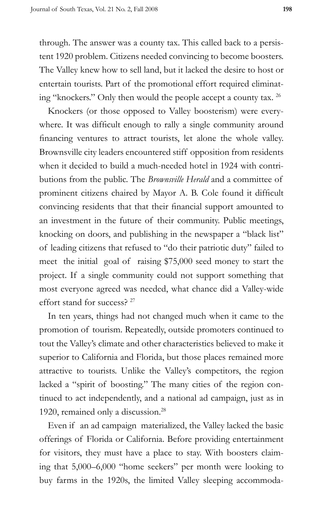through. The answer was a county tax. This called back to a persistent 1920 problem. Citizens needed convincing to become boosters. The Valley knew how to sell land, but it lacked the desire to host or entertain tourists. Part of the promotional effort required eliminating "knockers." Only then would the people accept a county tax. 26

Knockers (or those opposed to Valley boosterism) were everywhere. It was difficult enough to rally a single community around financing ventures to attract tourists, let alone the whole valley. Brownsville city leaders encountered stiff opposition from residents when it decided to build a much-needed hotel in 1924 with contributions from the public. The *Brownsville Herald* and a committee of prominent citizens chaired by Mayor A. B. Cole found it difficult convincing residents that that their financial support amounted to an investment in the future of their community. Public meetings, knocking on doors, and publishing in the newspaper a "black list" of leading citizens that refused to "do their patriotic duty" failed to meet the initial goal of raising \$75,000 seed money to start the project. If a single community could not support something that most everyone agreed was needed, what chance did a Valley-wide effort stand for success? <sup>27</sup>

In ten years, things had not changed much when it came to the promotion of tourism. Repeatedly, outside promoters continued to tout the Valley's climate and other characteristics believed to make it superior to California and Florida, but those places remained more attractive to tourists. Unlike the Valley's competitors, the region lacked a "spirit of boosting." The many cities of the region continued to act independently, and a national ad campaign, just as in 1920, remained only a discussion.<sup>28</sup>

Even if an ad campaign materialized, the Valley lacked the basic offerings of Florida or California. Before providing entertainment for visitors, they must have a place to stay. With boosters claiming that 5,000–6,000 "home seekers" per month were looking to buy farms in the 1920s, the limited Valley sleeping accommoda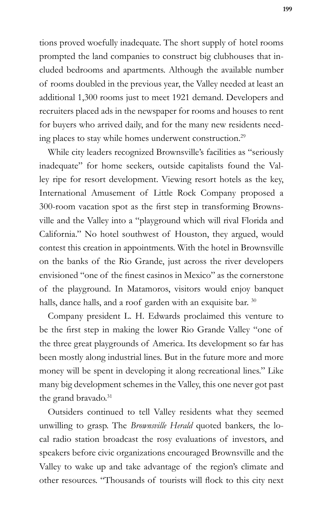tions proved woefully inadequate. The short supply of hotel rooms prompted the land companies to construct big clubhouses that included bedrooms and apartments. Although the available number of rooms doubled in the previous year, the Valley needed at least an additional 1,300 rooms just to meet 1921 demand. Developers and recruiters placed ads in the newspaper for rooms and houses to rent for buyers who arrived daily, and for the many new residents needing places to stay while homes underwent construction.<sup>29</sup>

While city leaders recognized Brownsville's facilities as "seriously inadequate" for home seekers, outside capitalists found the Valley ripe for resort development. Viewing resort hotels as the key, International Amusement of Little Rock Company proposed a 300-room vacation spot as the first step in transforming Brownsville and the Valley into a "playground which will rival Florida and California." No hotel southwest of Houston, they argued, would contest this creation in appointments. With the hotel in Brownsville on the banks of the Rio Grande, just across the river developers envisioned "one of the finest casinos in Mexico" as the cornerstone of the playground. In Matamoros, visitors would enjoy banquet halls, dance halls, and a roof garden with an exquisite bar. 30

Company president L. H. Edwards proclaimed this venture to be the first step in making the lower Rio Grande Valley "one of the three great playgrounds of America. Its development so far has been mostly along industrial lines. But in the future more and more money will be spent in developing it along recreational lines." Like many big development schemes in the Valley, this one never got past the grand bravado.<sup>31</sup>

Outsiders continued to tell Valley residents what they seemed unwilling to grasp. The *Brownsville Herald* quoted bankers, the local radio station broadcast the rosy evaluations of investors, and speakers before civic organizations encouraged Brownsville and the Valley to wake up and take advantage of the region's climate and other resources. "Thousands of tourists will flock to this city next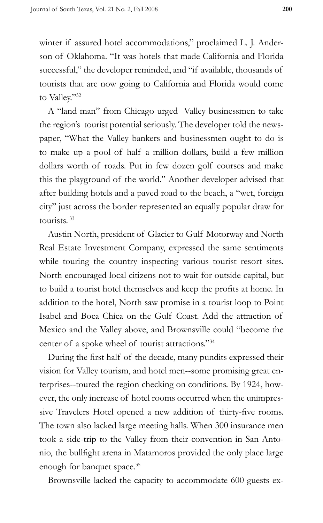winter if assured hotel accommodations," proclaimed L. J. Anderson of Oklahoma. "It was hotels that made California and Florida successful," the developer reminded, and "if available, thousands of tourists that are now going to California and Florida would come to Valley."32

A "land man" from Chicago urged Valley businessmen to take the region's tourist potential seriously. The developer told the newspaper, "What the Valley bankers and businessmen ought to do is to make up a pool of half a million dollars, build a few million dollars worth of roads. Put in few dozen golf courses and make this the playground of the world." Another developer advised that after building hotels and a paved road to the beach, a "wet, foreign city" just across the border represented an equally popular draw for tourists. 33

Austin North, president of Glacier to Gulf Motorway and North Real Estate Investment Company, expressed the same sentiments while touring the country inspecting various tourist resort sites. North encouraged local citizens not to wait for outside capital, but to build a tourist hotel themselves and keep the profits at home. In addition to the hotel, North saw promise in a tourist loop to Point Isabel and Boca Chica on the Gulf Coast. Add the attraction of Mexico and the Valley above, and Brownsville could "become the center of a spoke wheel of tourist attractions."34

During the first half of the decade, many pundits expressed their vision for Valley tourism, and hotel men--some promising great enterprises--toured the region checking on conditions. By 1924, however, the only increase of hotel rooms occurred when the unimpressive Travelers Hotel opened a new addition of thirty-five rooms. The town also lacked large meeting halls. When 300 insurance men took a side-trip to the Valley from their convention in San Antonio, the bullfight arena in Matamoros provided the only place large enough for banquet space.<sup>35</sup>

Brownsville lacked the capacity to accommodate 600 guests ex-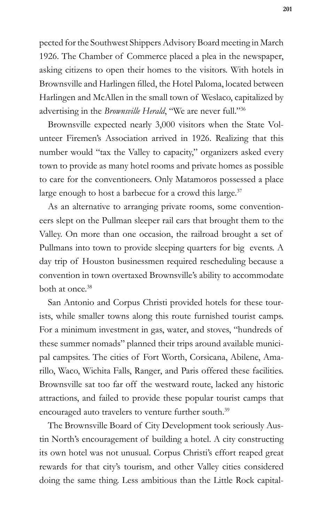pected for the Southwest Shippers Advisory Board meeting in March 1926. The Chamber of Commerce placed a plea in the newspaper, asking citizens to open their homes to the visitors. With hotels in Brownsville and Harlingen filled, the Hotel Paloma, located between Harlingen and McAllen in the small town of Weslaco, capitalized by advertising in the *Brownsville Herald*, "We are never full."36

Brownsville expected nearly 3,000 visitors when the State Volunteer Firemen's Association arrived in 1926. Realizing that this number would "tax the Valley to capacity," organizers asked every town to provide as many hotel rooms and private homes as possible to care for the conventioneers. Only Matamoros possessed a place large enough to host a barbecue for a crowd this large.<sup>37</sup>

As an alternative to arranging private rooms, some conventioneers slept on the Pullman sleeper rail cars that brought them to the Valley. On more than one occasion, the railroad brought a set of Pullmans into town to provide sleeping quarters for big events. A day trip of Houston businessmen required rescheduling because a convention in town overtaxed Brownsville's ability to accommodate both at once.<sup>38</sup>

San Antonio and Corpus Christi provided hotels for these tourists, while smaller towns along this route furnished tourist camps. For a minimum investment in gas, water, and stoves, "hundreds of these summer nomads" planned their trips around available municipal campsites. The cities of Fort Worth, Corsicana, Abilene, Amarillo, Waco, Wichita Falls, Ranger, and Paris offered these facilities. Brownsville sat too far off the westward route, lacked any historic attractions, and failed to provide these popular tourist camps that encouraged auto travelers to venture further south.<sup>39</sup>

The Brownsville Board of City Development took seriously Austin North's encouragement of building a hotel. A city constructing its own hotel was not unusual. Corpus Christi's effort reaped great rewards for that city's tourism, and other Valley cities considered doing the same thing. Less ambitious than the Little Rock capital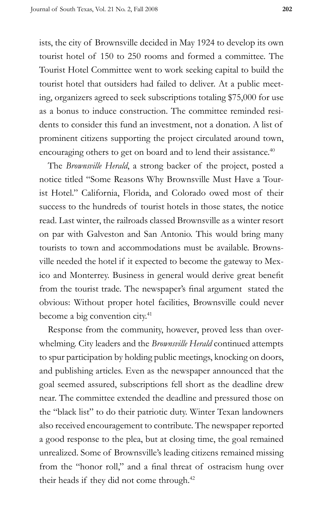ists, the city of Brownsville decided in May 1924 to develop its own tourist hotel of 150 to 250 rooms and formed a committee. The Tourist Hotel Committee went to work seeking capital to build the tourist hotel that outsiders had failed to deliver. At a public meeting, organizers agreed to seek subscriptions totaling \$75,000 for use as a bonus to induce construction. The committee reminded residents to consider this fund an investment, not a donation. A list of prominent citizens supporting the project circulated around town, encouraging others to get on board and to lend their assistance.<sup>40</sup>

The *Brownsville Herald*, a strong backer of the project, posted a notice titled "Some Reasons Why Brownsville Must Have a Tourist Hotel." California, Florida, and Colorado owed most of their success to the hundreds of tourist hotels in those states, the notice read. Last winter, the railroads classed Brownsville as a winter resort on par with Galveston and San Antonio. This would bring many tourists to town and accommodations must be available. Brownsville needed the hotel if it expected to become the gateway to Mexico and Monterrey. Business in general would derive great benefit from the tourist trade. The newspaper's final argument stated the obvious: Without proper hotel facilities, Brownsville could never become a big convention city.<sup>41</sup>

Response from the community, however, proved less than overwhelming. City leaders and the *Brownsville Herald* continued attempts to spur participation by holding public meetings, knocking on doors, and publishing articles. Even as the newspaper announced that the goal seemed assured, subscriptions fell short as the deadline drew near. The committee extended the deadline and pressured those on the "black list" to do their patriotic duty. Winter Texan landowners also received encouragement to contribute. The newspaper reported a good response to the plea, but at closing time, the goal remained unrealized. Some of Brownsville's leading citizens remained missing from the "honor roll," and a final threat of ostracism hung over their heads if they did not come through.<sup>42</sup>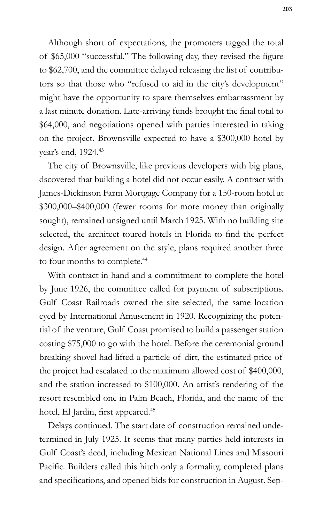Although short of expectations, the promoters tagged the total of \$65,000 "successful." The following day, they revised the figure to \$62,700, and the committee delayed releasing the list of contributors so that those who "refused to aid in the city's development" might have the opportunity to spare themselves embarrassment by a last minute donation. Late-arriving funds brought the final total to \$64,000, and negotiations opened with parties interested in taking on the project. Brownsville expected to have a \$300,000 hotel by year's end, 1924.<sup>43</sup>

The city of Brownsville, like previous developers with big plans, dscovered that building a hotel did not occur easily. A contract with James-Dickinson Farm Mortgage Company for a 150-room hotel at \$300,000–\$400,000 (fewer rooms for more money than originally sought), remained unsigned until March 1925. With no building site selected, the architect toured hotels in Florida to find the perfect design. After agreement on the style, plans required another three to four months to complete.<sup>44</sup>

With contract in hand and a commitment to complete the hotel by June 1926, the committee called for payment of subscriptions. Gulf Coast Railroads owned the site selected, the same location eyed by International Amusement in 1920. Recognizing the potential of the venture, Gulf Coast promised to build a passenger station costing \$75,000 to go with the hotel. Before the ceremonial ground breaking shovel had lifted a particle of dirt, the estimated price of the project had escalated to the maximum allowed cost of \$400,000, and the station increased to \$100,000. An artist's rendering of the resort resembled one in Palm Beach, Florida, and the name of the hotel, El Jardin, first appeared.<sup>45</sup>

Delays continued. The start date of construction remained undetermined in July 1925. It seems that many parties held interests in Gulf Coast's deed, including Mexican National Lines and Missouri Pacific. Builders called this hitch only a formality, completed plans and specifications, and opened bids for construction in August. Sep-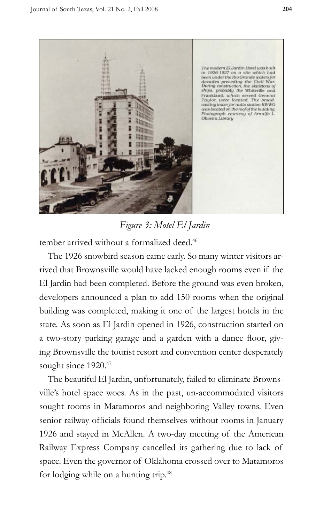

*Figure 3: Motel El Jardin*

tember arrived without a formalized deed.<sup>46</sup>

The 1926 snowbird season came early. So many winter visitors arrived that Brownsville would have lacked enough rooms even if the El Jardin had been completed. Before the ground was even broken, developers announced a plan to add 150 rooms when the original building was completed, making it one of the largest hotels in the state. As soon as El Jardin opened in 1926, construction started on a two-story parking garage and a garden with a dance floor, giving Brownsville the tourist resort and convention center desperately sought since 1920.<sup>47</sup>

The beautiful El Jardin, unfortunately, failed to eliminate Brownsville's hotel space woes. As in the past, un-accommodated visitors sought rooms in Matamoros and neighboring Valley towns. Even senior railway officials found themselves without rooms in January 1926 and stayed in McAllen. A two-day meeting of the American Railway Express Company cancelled its gathering due to lack of space. Even the governor of Oklahoma crossed over to Matamoros for lodging while on a hunting trip.<sup>48</sup>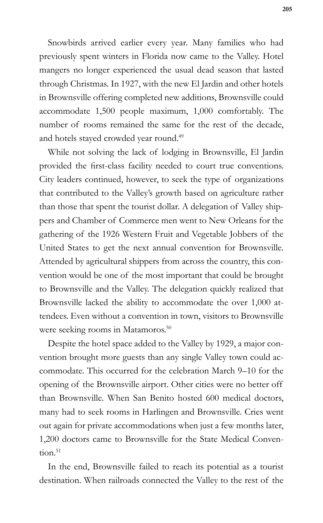Snowbirds arrived earlier every year. Many families who had previously spent winters in Florida now came to the Valley. Hotel mangers no longer experienced the usual dead season that lasted through Christmas. In 1927, with the new El Jardin and other hotels in Brownsville offering completed new additions, Brownsville could accommodate 1,500 people maximum, 1,000 comfortably. The number of rooms remained the same for the rest of the decade, and hotels stayed crowded year round.<sup>49</sup>

While not solving the lack of lodging in Brownsville, El Jardin provided the first-class facility needed to court true conventions. City leaders continued, however, to seek the type of organizations that contributed to the Valley's growth based on agriculture rather than those that spent the tourist dollar. A delegation of Valley shippers and Chamber of Commerce men went to New Orleans for the gathering of the 1926 Western Fruit and Vegetable Jobbers of the United States to get the next annual convention for Brownsville. Attended by agricultural shippers from across the country, this convention would be one of the most important that could be brought to Brownsville and the Valley. The delegation quickly realized that Brownsville lacked the ability to accommodate the over 1,000 attendees. Even without a convention in town, visitors to Brownsville were seeking rooms in Matamoros.<sup>50</sup>

Despite the hotel space added to the Valley by 1929, a major convention brought more guests than any single Valley town could accommodate. This occurred for the celebration March 9–10 for the opening of the Brownsville airport. Other cities were no better off than Brownsville. When San Benito hosted 600 medical doctors, many had to seek rooms in Harlingen and Brownsville. Cries went out again for private accommodations when just a few months later, 1,200 doctors came to Brownsville for the State Medical Conven $tion.<sup>51</sup>$ 

In the end, Brownsville failed to reach its potential as a tourist destination. When railroads connected the Valley to the rest of the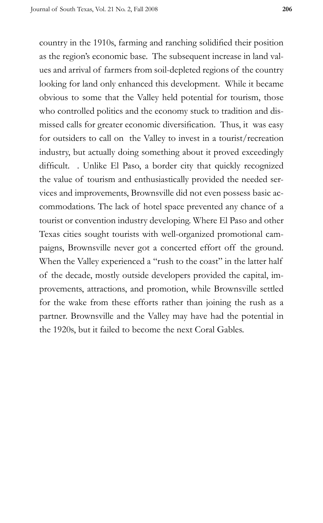country in the 1910s, farming and ranching solidified their position as the region's economic base. The subsequent increase in land values and arrival of farmers from soil-depleted regions of the country looking for land only enhanced this development. While it became obvious to some that the Valley held potential for tourism, those who controlled politics and the economy stuck to tradition and dismissed calls for greater economic diversification. Thus, it was easy for outsiders to call on the Valley to invest in a tourist/recreation industry, but actually doing something about it proved exceedingly difficult. . Unlike El Paso, a border city that quickly recognized the value of tourism and enthusiastically provided the needed services and improvements, Brownsville did not even possess basic accommodations. The lack of hotel space prevented any chance of a tourist or convention industry developing. Where El Paso and other Texas cities sought tourists with well-organized promotional campaigns, Brownsville never got a concerted effort off the ground. When the Valley experienced a "rush to the coast" in the latter half of the decade, mostly outside developers provided the capital, improvements, attractions, and promotion, while Brownsville settled for the wake from these efforts rather than joining the rush as a partner. Brownsville and the Valley may have had the potential in the 1920s, but it failed to become the next Coral Gables.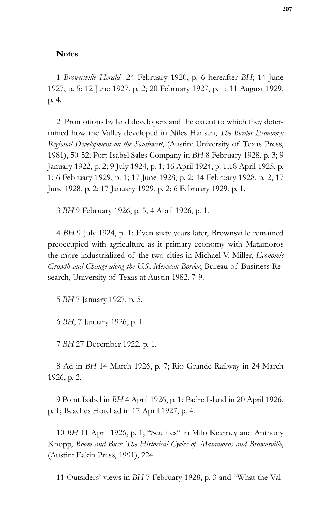#### **Notes**

1 *Brownsville Herald* 24 February 1920, p. 6 hereafter *BH*; 14 June 1927, p. 5; 12 June 1927, p. 2; 20 February 1927, p. 1; 11 August 1929, p. 4.

2 Promotions by land developers and the extent to which they determined how the Valley developed in Niles Hansen, *The Border Economy: Regional Development on the Southwest*, (Austin: University of Texas Press, 1981), 50-52; Port Isabel Sales Company in *BH* 8 February 1928. p. 3; 9 January 1922, p. 2; 9 July 1924, p. 1; 16 April 1924, p. 1;18 April 1925, p. 1; 6 February 1929, p. 1; 17 June 1928, p. 2; 14 February 1928, p. 2; 17 June 1928, p. 2; 17 January 1929, p. 2; 6 February 1929, p. 1.

3 *BH* 9 February 1926, p. 5; 4 April 1926, p. 1.

4 *BH* 9 July 1924, p. 1; Even sixty years later, Brownsville remained preoccupied with agriculture as it primary economy with Matamoros the more industrialized of the two cities in Michael V. Miller, *Economic Growth and Change along the U.S.-Mexican Border*, Bureau of Business Research, University of Texas at Austin 1982, 7-9.

5 *BH* 7 January 1927, p. 5.

6 *BH*, 7 January 1926, p. 1.

7 *BH* 27 December 1922, p. 1.

8 Ad in *BH* 14 March 1926, p. 7; Rio Grande Railway in 24 March 1926, p. 2.

9 Point Isabel in *BH* 4 April 1926, p. 1; Padre Island in 20 April 1926, p. 1; Beaches Hotel ad in 17 April 1927, p. 4.

10 *BH* 11 April 1926, p. 1; "Scuffles" in Milo Kearney and Anthony Knopp, *Boom and Bust: The Historical Cycles of Matamoros and Brownsville*, (Austin: Eakin Press, 1991), 224.

11 Outsiders' views in *BH* 7 February 1928, p. 3 and "What the Val-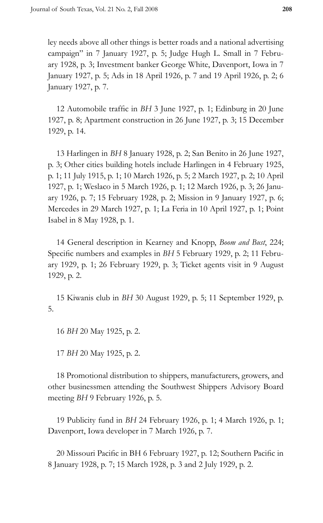ley needs above all other things is better roads and a national advertising campaign" in 7 January 1927, p. 5; Judge Hugh L. Small in 7 February 1928, p. 3; Investment banker George White, Davenport, Iowa in 7 January 1927, p. 5; Ads in 18 April 1926, p. 7 and 19 April 1926, p. 2; 6 January 1927, p. 7.

12 Automobile traffic in *BH* 3 June 1927, p. 1; Edinburg in 20 June 1927, p. 8; Apartment construction in 26 June 1927, p. 3; 15 December 1929, p. 14.

13 Harlingen in *BH* 8 January 1928, p. 2; San Benito in 26 June 1927, p. 3; Other cities building hotels include Harlingen in 4 February 1925, p. 1; 11 July 1915, p. 1; 10 March 1926, p. 5; 2 March 1927, p. 2; 10 April 1927, p. 1; Weslaco in 5 March 1926, p. 1; 12 March 1926, p. 3; 26 January 1926, p. 7; 15 February 1928, p. 2; Mission in 9 January 1927, p. 6; Mercedes in 29 March 1927, p. 1; La Feria in 10 April 1927, p. 1; Point Isabel in 8 May 1928, p. 1.

14 General description in Kearney and Knopp, *Boom and Bust*, 224; Specific numbers and examples in *BH* 5 February 1929, p. 2; 11 February 1929, p. 1; 26 February 1929, p. 3; Ticket agents visit in 9 August 1929, p. 2.

15 Kiwanis club in *BH* 30 August 1929, p. 5; 11 September 1929, p. 5.

16 *BH* 20 May 1925, p. 2.

17 *BH* 20 May 1925, p. 2.

18 Promotional distribution to shippers, manufacturers, growers, and other businessmen attending the Southwest Shippers Advisory Board meeting *BH* 9 February 1926, p. 5.

19 Publicity fund in *BH* 24 February 1926, p. 1; 4 March 1926, p. 1; Davenport, Iowa developer in 7 March 1926, p. 7.

20 Missouri Pacific in BH 6 February 1927, p. 12; Southern Pacific in 8 January 1928, p. 7; 15 March 1928, p. 3 and 2 July 1929, p. 2.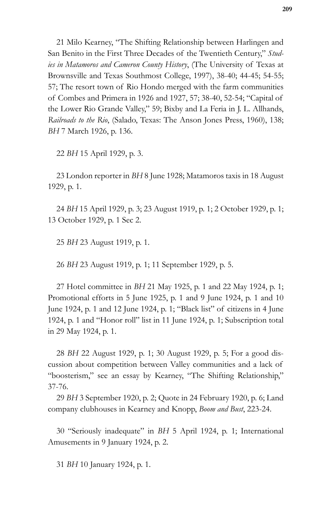21 Milo Kearney, "The Shifting Relationship between Harlingen and San Benito in the First Three Decades of the Twentieth Century," *Studies in Matamoros and Cameron County History*, (The University of Texas at Brownsville and Texas Southmost College, 1997), 38-40; 44-45; 54-55; 57; The resort town of Rio Hondo merged with the farm communities of Combes and Primera in 1926 and 1927, 57; 38-40, 52-54; "Capital of the Lower Rio Grande Valley," 59; Bixby and La Feria in J. L. Allhands, *Railroads to the Rio*, (Salado, Texas: The Anson Jones Press, 1960), 138; *BH* 7 March 1926, p. 136.

22 *BH* 15 April 1929, p. 3.

23 London reporter in *BH* 8 June 1928; Matamoros taxis in 18 August 1929, p. 1.

24 *BH* 15 April 1929, p. 3; 23 August 1919, p. 1; 2 October 1929, p. 1; 13 October 1929, p. 1 Sec 2.

25 *BH* 23 August 1919, p. 1.

26 *BH* 23 August 1919, p. 1; 11 September 1929, p. 5.

27 Hotel committee in *BH* 21 May 1925, p. 1 and 22 May 1924, p. 1; Promotional efforts in 5 June 1925, p. 1 and 9 June 1924, p. 1 and 10 June 1924, p. 1 and 12 June 1924, p. 1; "Black list" of citizens in 4 June 1924, p. 1 and "Honor roll" list in 11 June 1924, p. 1; Subscription total in 29 May 1924, p. 1.

28 *BH* 22 August 1929, p. 1; 30 August 1929, p. 5; For a good discussion about competition between Valley communities and a lack of "boosterism," see an essay by Kearney, "The Shifting Relationship," 37-76.

29 *BH* 3 September 1920, p. 2; Quote in 24 February 1920, p. 6; Land company clubhouses in Kearney and Knopp, *Boom and Bust*, 223-24.

30 "Seriously inadequate" in *BH* 5 April 1924, p. 1; International Amusements in 9 January 1924, p. 2.

31 *BH* 10 January 1924, p. 1.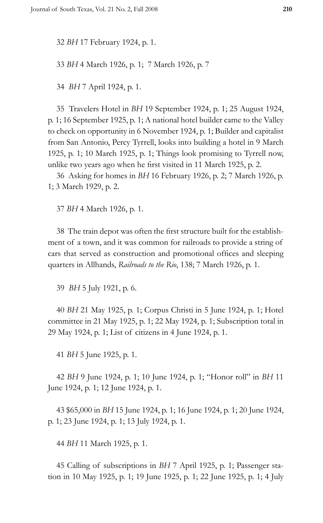32 *BH* 17 February 1924, p. 1.

33 *BH* 4 March 1926, p. 1; 7 March 1926, p. 7

34 *BH* 7 April 1924, p. 1.

35 Travelers Hotel in *BH* 19 September 1924, p. 1; 25 August 1924, p. 1; 16 September 1925, p. 1; A national hotel builder came to the Valley to check on opportunity in 6 November 1924, p. 1; Builder and capitalist from San Antonio, Percy Tyrrell, looks into building a hotel in 9 March 1925, p. 1; 10 March 1925, p. 1; Things look promising to Tyrrell now, unlike two years ago when he first visited in 11 March 1925, p. 2.

36 Asking for homes in *BH* 16 February 1926, p. 2; 7 March 1926, p. 1; 3 March 1929, p. 2.

37 *BH* 4 March 1926, p. 1.

38 The train depot was often the first structure built for the establishment of a town, and it was common for railroads to provide a string of cars that served as construction and promotional offices and sleeping quarters in Allhands, *Railroads to the Rio*, 138; 7 March 1926, p. 1.

39 *BH* 5 July 1921, p. 6.

40 *BH* 21 May 1925, p. 1; Corpus Christi in 5 June 1924, p. 1; Hotel committee in 21 May 1925, p. 1; 22 May 1924, p. 1; Subscription total in 29 May 1924, p. 1; List of citizens in 4 June 1924, p. 1.

41 *BH* 5 June 1925, p. 1.

42 *BH* 9 June 1924, p. 1; 10 June 1924, p. 1; "Honor roll" in *BH* 11 June 1924, p. 1; 12 June 1924, p. 1.

43 \$65,000 in *BH* 15 June 1924, p. 1; 16 June 1924, p. 1; 20 June 1924, p. 1; 23 June 1924, p. 1; 13 July 1924, p. 1.

44 *BH* 11 March 1925, p. 1.

45 Calling of subscriptions in *BH* 7 April 1925, p. 1; Passenger station in 10 May 1925, p. 1; 19 June 1925, p. 1; 22 June 1925, p. 1; 4 July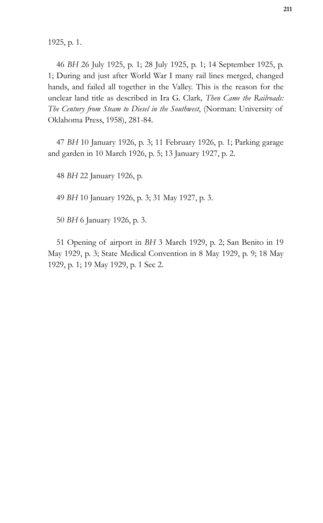1925, p. 1.

46 *BH* 26 July 1925, p. 1; 28 July 1925, p. 1; 14 September 1925, p. 1; During and just after World War I many rail lines merged, changed hands, and failed all together in the Valley. This is the reason for the unclear land title as described in Ira G. Clark*, Then Came the Railroads: The Century from Steam to Diesel in the Southwest*, (Norman: University of Oklahoma Press, 1958), 281-84.

47 *BH* 10 January 1926, p. 3; 11 February 1926, p. 1; Parking garage and garden in 10 March 1926, p. 5; 13 January 1927, p. 2.

48 *BH* 22 January 1926, p.

49 *BH* 10 January 1926, p. 3; 31 May 1927, p. 3.

50 *BH* 6 January 1926, p. 3.

51 Opening of airport in *BH* 3 March 1929, p. 2; San Benito in 19 May 1929, p. 3; State Medical Convention in 8 May 1929, p. 9; 18 May 1929, p. 1; 19 May 1929, p. 1 Sec 2.